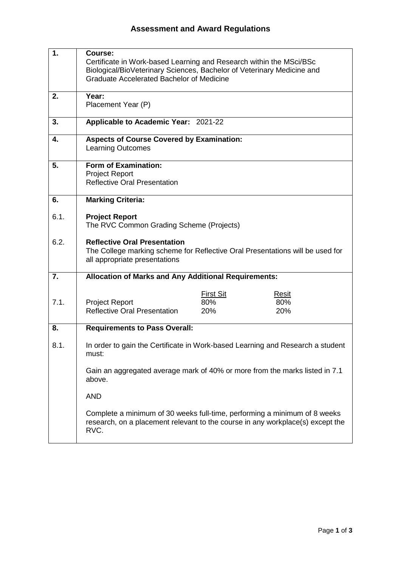| 1.   | Course:<br>Certificate in Work-based Learning and Research within the MSci/BSc<br>Biological/BioVeterinary Sciences, Bachelor of Veterinary Medicine and<br><b>Graduate Accelerated Bachelor of Medicine</b> |                                |                     |  |
|------|--------------------------------------------------------------------------------------------------------------------------------------------------------------------------------------------------------------|--------------------------------|---------------------|--|
| 2.   | Year:<br>Placement Year (P)                                                                                                                                                                                  |                                |                     |  |
| 3.   | Applicable to Academic Year: 2021-22                                                                                                                                                                         |                                |                     |  |
| 4.   | <b>Aspects of Course Covered by Examination:</b><br><b>Learning Outcomes</b>                                                                                                                                 |                                |                     |  |
| 5.   | <b>Form of Examination:</b><br><b>Project Report</b><br><b>Reflective Oral Presentation</b>                                                                                                                  |                                |                     |  |
| 6.   | <b>Marking Criteria:</b>                                                                                                                                                                                     |                                |                     |  |
| 6.1. | <b>Project Report</b><br>The RVC Common Grading Scheme (Projects)                                                                                                                                            |                                |                     |  |
| 6.2. | <b>Reflective Oral Presentation</b><br>The College marking scheme for Reflective Oral Presentations will be used for<br>all appropriate presentations                                                        |                                |                     |  |
| 7.   | <b>Allocation of Marks and Any Additional Requirements:</b>                                                                                                                                                  |                                |                     |  |
| 7.1. | <b>Project Report</b><br><b>Reflective Oral Presentation</b>                                                                                                                                                 | <b>First Sit</b><br>80%<br>20% | Resit<br>80%<br>20% |  |
| 8.   | <b>Requirements to Pass Overall:</b>                                                                                                                                                                         |                                |                     |  |
| 8.1. | In order to gain the Certificate in Work-based Learning and Research a student<br>must:                                                                                                                      |                                |                     |  |
|      | Gain an aggregated average mark of 40% or more from the marks listed in 7.1<br>above.                                                                                                                        |                                |                     |  |
|      | <b>AND</b>                                                                                                                                                                                                   |                                |                     |  |
|      | Complete a minimum of 30 weeks full-time, performing a minimum of 8 weeks<br>research, on a placement relevant to the course in any workplace(s) except the<br>RVC.                                          |                                |                     |  |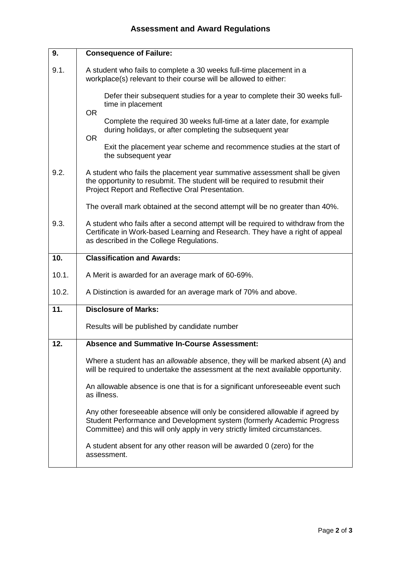| 9.    | <b>Consequence of Failure:</b>                                                                                                                                                                                                        |  |  |
|-------|---------------------------------------------------------------------------------------------------------------------------------------------------------------------------------------------------------------------------------------|--|--|
| 9.1.  | A student who fails to complete a 30 weeks full-time placement in a<br>workplace(s) relevant to their course will be allowed to either:                                                                                               |  |  |
|       | Defer their subsequent studies for a year to complete their 30 weeks full-<br>time in placement<br><b>OR</b>                                                                                                                          |  |  |
|       | Complete the required 30 weeks full-time at a later date, for example<br>during holidays, or after completing the subsequent year<br><b>OR</b>                                                                                        |  |  |
|       | Exit the placement year scheme and recommence studies at the start of<br>the subsequent year                                                                                                                                          |  |  |
| 9.2.  | A student who fails the placement year summative assessment shall be given<br>the opportunity to resubmit. The student will be required to resubmit their<br>Project Report and Reflective Oral Presentation.                         |  |  |
|       | The overall mark obtained at the second attempt will be no greater than 40%.                                                                                                                                                          |  |  |
| 9.3.  | A student who fails after a second attempt will be required to withdraw from the<br>Certificate in Work-based Learning and Research. They have a right of appeal<br>as described in the College Regulations.                          |  |  |
| 10.   | <b>Classification and Awards:</b>                                                                                                                                                                                                     |  |  |
|       |                                                                                                                                                                                                                                       |  |  |
| 10.1. | A Merit is awarded for an average mark of 60-69%.                                                                                                                                                                                     |  |  |
| 10.2. | A Distinction is awarded for an average mark of 70% and above.                                                                                                                                                                        |  |  |
| 11.   | <b>Disclosure of Marks:</b>                                                                                                                                                                                                           |  |  |
|       | Results will be published by candidate number                                                                                                                                                                                         |  |  |
| 12.   | <b>Absence and Summative In-Course Assessment:</b>                                                                                                                                                                                    |  |  |
|       | Where a student has an allowable absence, they will be marked absent (A) and<br>will be required to undertake the assessment at the next available opportunity.                                                                       |  |  |
|       | An allowable absence is one that is for a significant unforeseeable event such<br>as illness.                                                                                                                                         |  |  |
|       | Any other foreseeable absence will only be considered allowable if agreed by<br>Student Performance and Development system (formerly Academic Progress<br>Committee) and this will only apply in very strictly limited circumstances. |  |  |